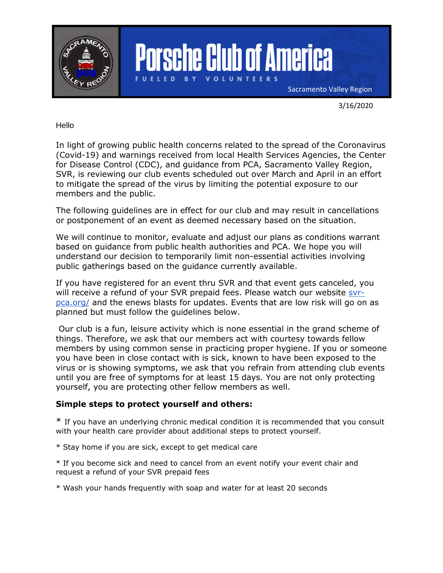

3/16/2020

Hello

In light of growing public health concerns related to the spread of the Coronavirus (Covid-19) and warnings received from local Health Services Agencies, the Center for Disease Control (CDC), and guidance from PCA, Sacramento Valley Region, SVR, is reviewing our club events scheduled out over March and April in an effort to mitigate the spread of the virus by limiting the potential exposure to our members and the public.

The following guidelines are in effect for our club and may result in cancellations or postponement of an event as deemed necessary based on the situation.

We will continue to monitor, evaluate and adjust our plans as conditions warrant based on guidance from public health authorities and PCA. We hope you will understand our decision to temporarily limit non-essential activities involving public gatherings based on the guidance currently available.

If you have registered for an event thru SVR and that event gets canceled, you will receive a refund of your SVR prepaid fees. Please watch our website [svr](https://www.diablo-pca.org/)[pca.org/](https://www.diablo-pca.org/) and the enews blasts for updates. Events that are low risk will go on as planned but must follow the guidelines below.

Our club is a fun, leisure activity which is none essential in the grand scheme of things. Therefore, we ask that our members act with courtesy towards fellow members by using common sense in practicing proper hygiene. If you or someone you have been in close contact with is sick, known to have been exposed to the virus or is showing symptoms, we ask that you refrain from attending club events until you are free of symptoms for at least 15 days. You are not only protecting yourself, you are protecting other fellow members as well.

## **Simple steps to protect yourself and others:**

\* If you have an underlying chronic medical condition it is recommended that you consult with your health care provider about additional steps to protect yourself.

\* Stay home if you are sick, except to get medical care

\* If you become sick and need to cancel from an event notify your event chair and request a refund of your SVR prepaid fees

\* Wash your hands frequently with soap and water for at least 20 seconds